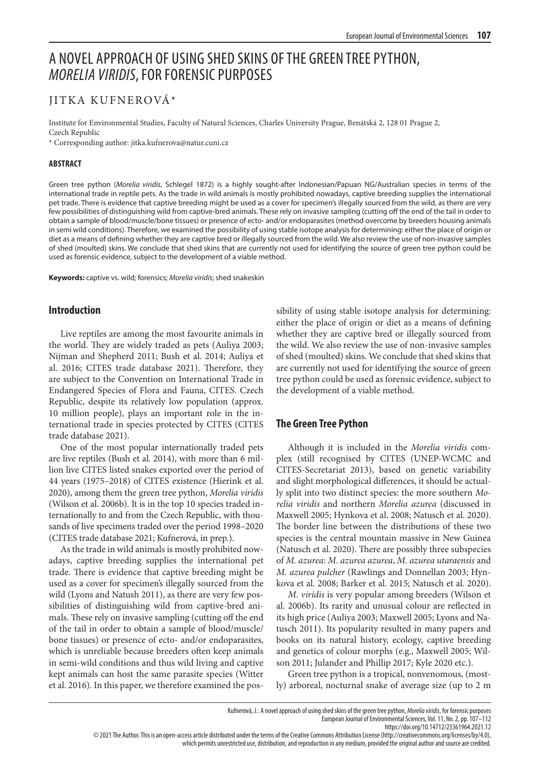# A NOVEL APPROACH OF USING SHED SKINS OF THE GREEN TREE PYTHON, *MORELIA VIRIDIS*, FOR FORENSIC PURPOSES

# JITKA KUFNEROVÁ\*

Institute for Environmental Studies, Faculty of Natural Sciences, Charles University Prague, Benátská 2, 128 01 Prague 2, Czech Republic

\* Corresponding author: jitka.kufnerova@natur.cuni.cz

#### **ABSTRACT**

Green tree python (*Morelia viridis*, Schlegel 1872) is a highly sought-after Indonesian/Papuan NG/Australian species in terms of the international trade in reptile pets. As the trade in wild animals is mostly prohibited nowadays, captive breeding supplies the international pet trade. There is evidence that captive breeding might be used as a cover for specimen's illegally sourced from the wild, as there are very few possibilities of distinguishing wild from captive-bred animals. These rely on invasive sampling (cutting off the end of the tail in order to obtain a sample of blood/muscle/bone tissues) or presence of ecto- and/or endoparasites (method overcome by breeders housing animals in semi wild conditions). Therefore, we examined the possibility of using stable isotope analysis for determining: either the place of origin or diet as a means of defining whether they are captive bred or illegally sourced from the wild. We also review the use of non-invasive samples of shed (moulted) skins. We conclude that shed skins that are currently not used for identifying the source of green tree python could be used as forensic evidence, subject to the development of a viable method.

**Keywords:** captive vs. wild; forensics; *Morelia viridis*; shed snakeskin

#### **Introduction**

Live reptiles are among the most favourite animals in the world. They are widely traded as pets (Auliya 2003; Nijman and Shepherd 2011; Bush et al. 2014; Auliya et al. 2016; CITES trade database 2021). Therefore, they are subject to the Convention on International Trade in Endangered Species of Flora and Fauna, CITES. Czech Republic, despite its relatively low population (approx. 10 million people), plays an important role in the international trade in species protected by CITES (CITES trade database 2021).

One of the most popular internationally traded pets are live reptiles (Bush et al. 2014), with more than 6 million live CITES listed snakes exported over the period of 44 years (1975–2018) of CITES existence (Hierink et al. 2020), among them the green tree python, *Morelia viridis* (Wilson et al. 2006b). It is in the top 10 species traded internationally to and from the Czech Republic, with thousands of live specimens traded over the period 1998–2020 (CITES trade database 2021; Kufnerová, in prep.).

As the trade in wild animals is mostly prohibited nowadays, captive breeding supplies the international pet trade. There is evidence that captive breeding might be used as a cover for specimen's illegally sourced from the wild (Lyons and Natush 2011), as there are very few possibilities of distinguishing wild from captive-bred animals. These rely on invasive sampling (cutting off the end of the tail in order to obtain a sample of blood/muscle/ bone tissues) or presence of ecto- and/or endoparasites, which is unreliable because breeders often keep animals in semi-wild conditions and thus wild living and captive kept animals can host the same parasite species (Witter et al. 2016). In this paper, we therefore examined the possibility of using stable isotope analysis for determining: either the place of origin or diet as a means of defining whether they are captive bred or illegally sourced from the wild. We also review the use of non-invasive samples of shed (moulted) skins. We conclude that shed skins that are currently not used for identifying the source of green tree python could be used as forensic evidence, subject to the development of a viable method.

## **The Green Tree Python**

Although it is included in the *Morelia viridis* complex (still recognised by CITES (UNEP-WCMC and CITES-Secretariat 2013), based on genetic variability and slight morphological differences, it should be actually split into two distinct species: the more southern *Morelia viridis* and northern *Morelia azurea* (discussed in Maxwell 2005; Hynkova et al. 2008; Natusch et al. 2020). The border line between the distributions of these two species is the central mountain massive in New Guinea (Natusch et al. 2020). There are possibly three subspecies of *M. azurea*: *M. azurea azurea*, *M. azurea utaraensis* and *M. azurea pulcher* (Rawlings and Donnellan 2003; Hynkova et al. 2008; Barker et al. 2015; Natusch et al. 2020).

*M. viridis* is very popular among breeders (Wilson et al. 2006b). Its rarity and unusual colour are reflected in its high price (Auliya 2003; Maxwell 2005; Lyons and Natusch 2011). Its popularity resulted in many papers and books on its natural history, ecology, captive breeding and genetics of colour morphs (e.g., Maxwell 2005; Wilson 2011; Julander and Phillip 2017; Kyle 2020 etc.).

Green tree python is a tropical, nonvenomous, (mostly) arboreal, nocturnal snake of average size (up to 2 m

which permits unrestricted use, distribution, and reproduction in any medium, provided the original author and source are credited.

European Journal of Environmental Sciences, Vol. 11, No. 2, pp. 107–112

https://doi.org/10.14712/23361964.2021.12

<sup>© 2021</sup> The Author. This is an open-access article distributed under the terms of the Creative Commons Attribution License (http://creativecommons.org/licenses/by/4.0),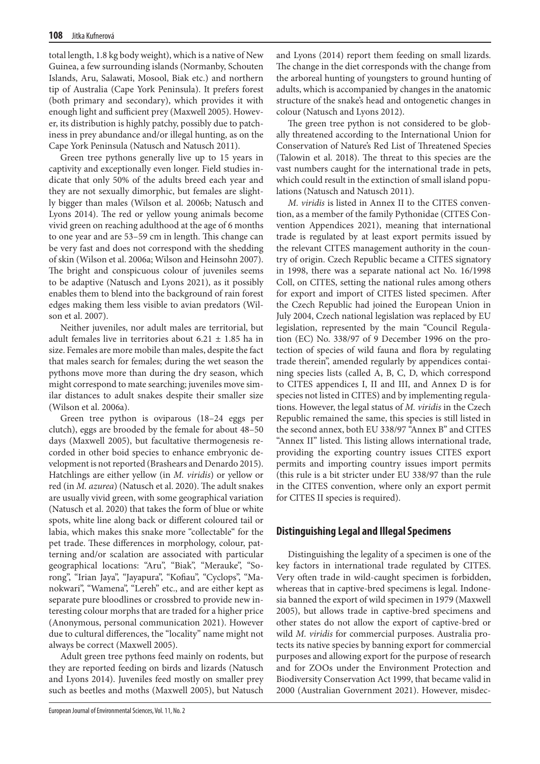total length, 1.8 kg body weight), which is a native of New Guinea, a few surrounding islands (Normanby, Schouten Islands, Aru, Salawati, Mosool, Biak etc.) and northern tip of Australia (Cape York Peninsula). It prefers forest (both primary and secondary), which provides it with enough light and sufficient prey (Maxwell 2005). However, its distribution is highly patchy, possibly due to patchiness in prey abundance and/or illegal hunting, as on the Cape York Peninsula (Natusch and Natusch 2011).

Green tree pythons generally live up to 15 years in captivity and exceptionally even longer. Field studies indicate that only 50% of the adults breed each year and they are not sexually dimorphic, but females are slightly bigger than males (Wilson et al. 2006b; Natusch and Lyons 2014). The red or yellow young animals become vivid green on reaching adulthood at the age of 6 months to one year and are 53–59 cm in length. This change can be very fast and does not correspond with the shedding of skin (Wilson et al. 2006a; Wilson and Heinsohn 2007). The bright and conspicuous colour of juveniles seems to be adaptive (Natusch and Lyons 2021), as it possibly enables them to blend into the background of rain forest edges making them less visible to avian predators (Wilson et al. 2007).

Neither juveniles, nor adult males are territorial, but adult females live in territories about 6.21  $\pm$  1.85 ha in size. Females are more mobile than males, despite the fact that males search for females; during the wet season the pythons move more than during the dry season, which might correspond to mate searching; juveniles move similar distances to adult snakes despite their smaller size (Wilson et al. 2006a).

Green tree python is oviparous (18–24 eggs per clutch), eggs are brooded by the female for about 48–50 days (Maxwell 2005), but facultative thermogenesis recorded in other boid species to enhance embryonic development is not reported (Brashears and Denardo 2015). Hatchlings are either yellow (in *M. viridis*) or yellow or red (in *M. azurea*) (Natusch et al. 2020). The adult snakes are usually vivid green, with some geographical variation (Natusch et al. 2020) that takes the form of blue or white spots, white line along back or different coloured tail or labia, which makes this snake more "collectable" for the pet trade. These differences in morphology, colour, patterning and/or scalation are associated with particular geographical locations: "Aru", "Biak", "Merauke", "Sorong", "Irian Jaya", "Jayapura", "Kofiau", "Cyclops", "Manokwari", "Wamena", "Lereh" etc., and are either kept as separate pure bloodlines or crossbred to provide new interesting colour morphs that are traded for a higher price (Anonymous, personal communication 2021). However due to cultural differences, the "locality" name might not always be correct (Maxwell 2005).

Adult green tree pythons feed mainly on rodents, but they are reported feeding on birds and lizards (Natusch and Lyons 2014). Juveniles feed mostly on smaller prey such as beetles and moths (Maxwell 2005), but Natusch

and Lyons (2014) report them feeding on small lizards. The change in the diet corresponds with the change from the arboreal hunting of youngsters to ground hunting of adults, which is accompanied by changes in the anatomic structure of the snake's head and ontogenetic changes in colour (Natusch and Lyons 2012).

The green tree python is not considered to be globally threatened according to the International Union for Conservation of Nature's Red List of Threatened Species (Talowin et al. 2018). The threat to this species are the vast numbers caught for the international trade in pets, which could result in the extinction of small island populations (Natusch and Natusch 2011).

*M. viridis* is listed in Annex II to the CITES convention, as a member of the family Pythonidae (CITES Convention Appendices 2021), meaning that international trade is regulated by at least export permits issued by the relevant CITES management authority in the country of origin. Czech Republic became a CITES signatory in 1998, there was a separate national act No. 16/1998 Coll, on CITES, setting the national rules among others for export and import of CITES listed specimen. After the Czech Republic had joined the European Union in July 2004, Czech national legislation was replaced by EU legislation, represented by the main "Council Regulation (EC) No. 338/97 of 9 December 1996 on the protection of species of wild fauna and flora by regulating trade therein", amended regularly by appendices containing species lists (called A, B, C, D, which correspond to CITES appendices I, II and III, and Annex D is for species not listed in CITES) and by implementing regulations. However, the legal status of *M. viridis* in the Czech Republic remained the same, this species is still listed in the second annex, both EU 338/97 "Annex B" and CITES "Annex II" listed. This listing allows international trade, providing the exporting country issues CITES export permits and importing country issues import permits (this rule is a bit stricter under EU 338/97 than the rule in the CITES convention, where only an export permit for CITES II species is required).

## **Distinguishing Legal and Illegal Specimens**

Distinguishing the legality of a specimen is one of the key factors in international trade regulated by CITES. Very often trade in wild-caught specimen is forbidden, whereas that in captive-bred specimens is legal. Indonesia banned the export of wild specimen in 1979 (Maxwell 2005), but allows trade in captive-bred specimens and other states do not allow the export of captive-bred or wild *M. viridis* for commercial purposes. Australia protects its native species by banning export for commercial purposes and allowing export for the purpose of research and for ZOOs under the Environment Protection and Biodiversity Conservation Act 1999, that became valid in 2000 (Australian Government 2021). However, misdec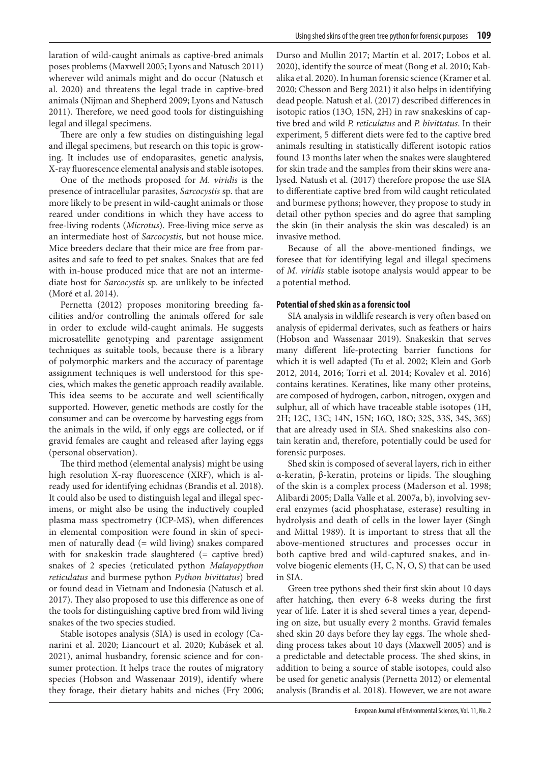laration of wild-caught animals as captive-bred animals poses problems (Maxwell 2005; Lyons and Natusch 2011) wherever wild animals might and do occur (Natusch et al. 2020) and threatens the legal trade in captive-bred animals (Nijman and Shepherd 2009; Lyons and Natusch 2011). Therefore, we need good tools for distinguishing legal and illegal specimens.

There are only a few studies on distinguishing legal and illegal specimens, but research on this topic is growing. It includes use of endoparasites, genetic analysis, X-ray fluorescence elemental analysis and stable isotopes.

One of the methods proposed for *M. viridis* is the presence of intracellular parasites, *Sarcocystis* sp. that are more likely to be present in wild-caught animals or those reared under conditions in which they have access to free-living rodents (*Microtus*). Free-living mice serve as an intermediate host of *Sarcocystis,* but not house mice. Mice breeders declare that their mice are free from parasites and safe to feed to pet snakes. Snakes that are fed with in-house produced mice that are not an intermediate host for *Sarcocystis* sp. are unlikely to be infected (Moré et al. 2014).

Pernetta (2012) proposes monitoring breeding facilities and/or controlling the animals offered for sale in order to exclude wild-caught animals. He suggests microsatellite genotyping and parentage assignment techniques as suitable tools, because there is a library of polymorphic markers and the accuracy of parentage assignment techniques is well understood for this species, which makes the genetic approach readily available. This idea seems to be accurate and well scientifically supported. However, genetic methods are costly for the consumer and can be overcome by harvesting eggs from the animals in the wild, if only eggs are collected, or if gravid females are caught and released after laying eggs (personal observation).

The third method (elemental analysis) might be using high resolution X-ray fluorescence (XRF), which is already used for identifying echidnas (Brandis et al. 2018). It could also be used to distinguish legal and illegal specimens, or might also be using the inductively coupled plasma mass spectrometry (ICP-MS), when differences in elemental composition were found in skin of specimen of naturally dead (= wild living) snakes compared with for snakeskin trade slaughtered (= captive bred) snakes of 2 species (reticulated python *Malayopython reticulatus* and burmese python *Python bivittatus*) bred or found dead in Vietnam and Indonesia (Natusch et al. 2017). They also proposed to use this difference as one of the tools for distinguishing captive bred from wild living snakes of the two species studied.

Stable isotopes analysis (SIA) is used in ecology (Canarini et al. 2020; Liancourt et al. 2020; Kubásek et al. 2021), animal husbandry, forensic science and for consumer protection. It helps trace the routes of migratory species (Hobson and Wassenaar 2019), identify where they forage, their dietary habits and niches (Fry 2006;

Durso and Mullin 2017; Martín et al. 2017; Lobos et al. 2020), identify the source of meat (Bong et al. 2010; Kabalika et al. 2020). In human forensic science (Kramer et al. 2020; Chesson and Berg 2021) it also helps in identifying dead people. Natush et al. (2017) described differences in isotopic ratios (13O, 15N, 2H) in raw snakeskins of captive bred and wild *P. reticulatus* and *P. bivittatus*. In their experiment, 5 different diets were fed to the captive bred animals resulting in statistically different isotopic ratios found 13 months later when the snakes were slaughtered for skin trade and the samples from their skins were analysed. Natush et al. (2017) therefore propose the use SIA to differentiate captive bred from wild caught reticulated and burmese pythons; however, they propose to study in detail other python species and do agree that sampling the skin (in their analysis the skin was descaled) is an invasive method.

Because of all the above-mentioned findings, we foresee that for identifying legal and illegal specimens of *M. viridis* stable isotope analysis would appear to be a potential method.

#### **Potential of shed skin as a forensic tool**

SIA analysis in wildlife research is very often based on analysis of epidermal derivates, such as feathers or hairs (Hobson and Wassenaar 2019). Snakeskin that serves many different life-protecting barrier functions for which it is well adapted (Tu et al. 2002; Klein and Gorb 2012, 2014, 2016; Torri et al. 2014; Kovalev et al. 2016) contains keratines. Keratines, like many other proteins, are composed of hydrogen, carbon, nitrogen, oxygen and sulphur, all of which have traceable stable isotopes (1H, 2H; 12C, 13C; 14N, 15N; 16O, 18O; 32S, 33S, 34S, 36S) that are already used in SIA. Shed snakeskins also contain keratin and, therefore, potentially could be used for forensic purposes.

Shed skin is composed of several layers, rich in either α-keratin, β-keratin, proteins or lipids. The sloughing of the skin is a complex process (Maderson et al. 1998; Alibardi 2005; Dalla Valle et al. 2007a, b), involving several enzymes (acid phosphatase, esterase) resulting in hydrolysis and death of cells in the lower layer (Singh and Mittal 1989). It is important to stress that all the above-mentioned structures and processes occur in both captive bred and wild-captured snakes, and involve biogenic elements (H, C, N, O, S) that can be used in SIA.

Green tree pythons shed their first skin about 10 days after hatching, then every 6-8 weeks during the first year of life. Later it is shed several times a year, depending on size, but usually every 2 months. Gravid females shed skin 20 days before they lay eggs. The whole shedding process takes about 10 days (Maxwell 2005) and is a predictable and detectable process. The shed skins, in addition to being a source of stable isotopes, could also be used for genetic analysis (Pernetta 2012) or elemental analysis (Brandis et al. 2018). However, we are not aware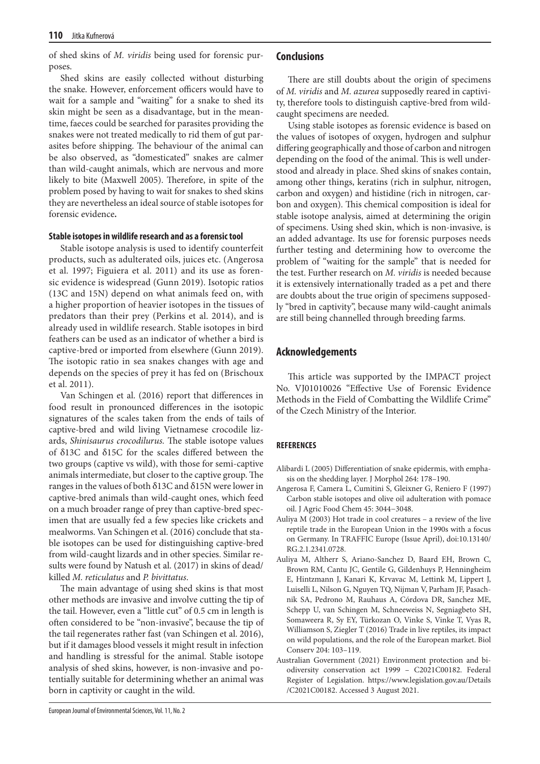of shed skins of *M. viridis* being used for forensic purposes.

Shed skins are easily collected without disturbing the snake. However, enforcement officers would have to wait for a sample and "waiting" for a snake to shed its skin might be seen as a disadvantage, but in the meantime, faeces could be searched for parasites providing the snakes were not treated medically to rid them of gut parasites before shipping. The behaviour of the animal can be also observed, as "domesticated" snakes are calmer than wild-caught animals, which are nervous and more likely to bite (Maxwell 2005). Therefore, in spite of the problem posed by having to wait for snakes to shed skins they are nevertheless an ideal source of stable isotopes for forensic evidence**.** 

#### **Stable isotopes in wildlife research and as a forensic tool**

Stable isotope analysis is used to identify counterfeit products, such as adulterated oils, juices etc. (Angerosa et al. 1997; Figuiera et al. 2011) and its use as forensic evidence is widespread (Gunn 2019). Isotopic ratios (13C and 15N) depend on what animals feed on, with a higher proportion of heavier isotopes in the tissues of predators than their prey (Perkins et al. 2014), and is already used in wildlife research. Stable isotopes in bird feathers can be used as an indicator of whether a bird is captive-bred or imported from elsewhere (Gunn 2019). The isotopic ratio in sea snakes changes with age and depends on the species of prey it has fed on (Brischoux et al. 2011).

Van Schingen et al. (2016) report that differences in food result in pronounced differences in the isotopic signatures of the scales taken from the ends of tails of captive-bred and wild living Vietnamese crocodile lizards, *Shinisaurus crocodilurus.* The stable isotope values of δ13C and δ15C for the scales differed between the two groups (captive vs wild), with those for semi-captive animals intermediate, but closer to the captive group. The ranges in the values of both δ13C and δ15N were lower in captive-bred animals than wild-caught ones, which feed on a much broader range of prey than captive-bred specimen that are usually fed a few species like crickets and mealworms. Van Schingen et al. (2016) conclude that stable isotopes can be used for distinguishing captive-bred from wild-caught lizards and in other species. Similar results were found by Natush et al. (2017) in skins of dead/ killed *M. reticulatus* and *P. bivittatus*.

The main advantage of using shed skins is that most other methods are invasive and involve cutting the tip of the tail. However, even a "little cut" of 0.5 cm in length is often considered to be "non-invasive", because the tip of the tail regenerates rather fast (van Schingen et al. 2016), but if it damages blood vessels it might result in infection and handling is stressful for the animal. Stable isotope analysis of shed skins, however, is non-invasive and potentially suitable for determining whether an animal was born in captivity or caught in the wild.

#### **Conclusions**

There are still doubts about the origin of specimens of *M. viridis* and *M. azurea* supposedly reared in captivity, therefore tools to distinguish captive-bred from wildcaught specimens are needed.

Using stable isotopes as forensic evidence is based on the values of isotopes of oxygen, hydrogen and sulphur differing geographically and those of carbon and nitrogen depending on the food of the animal. This is well understood and already in place. Shed skins of snakes contain, among other things, keratins (rich in sulphur, nitrogen, carbon and oxygen) and histidine (rich in nitrogen, carbon and oxygen). This chemical composition is ideal for stable isotope analysis, aimed at determining the origin of specimens. Using shed skin, which is non-invasive, is an added advantage. Its use for forensic purposes needs further testing and determining how to overcome the problem of "waiting for the sample" that is needed for the test. Further research on *M. viridis* is needed because it is extensively internationally traded as a pet and there are doubts about the true origin of specimens supposedly "bred in captivity", because many wild-caught animals are still being channelled through breeding farms.

#### **Acknowledgements**

This article was supported by the IMPACT project No. VJ01010026 "Effective Use of Forensic Evidence Methods in the Field of Combatting the Wildlife Crime" of the Czech Ministry of the Interior.

#### **REFERENCES**

- Alibardi L (2005) Differentiation of snake epidermis, with emphasis on the shedding layer. J Morphol 264: 178–190.
- Angerosa F, Camera L, Cumitini S, Gleixner G, Reniero F (1997) Carbon stable isotopes and olive oil adulteration with pomace oil. J Agric Food Chem 45: 3044−3048.
- Auliya M (2003) Hot trade in cool creatures a review of the live reptile trade in the European Union in the 1990s with a focus on Germany. In TRAFFIC Europe (Issue April), doi:10.13140/ RG.2.1.2341.0728.
- Auliya M, Altherr S, Ariano-Sanchez D, Baard EH, Brown C, Brown RM, Cantu JC, Gentile G, Gildenhuys P, Henningheim E, Hintzmann J, Kanari K, Krvavac M, Lettink M, Lippert J, Luiselli L, Nilson G, Nguyen TQ, Nijman V, Parham JF, Pasachnik SA, Pedrono M, Rauhaus A, Córdova DR, Sanchez ME, Schepp U, van Schingen M, Schneeweiss N, Segniagbeto SH, Somaweera R, Sy EY, Türkozan O, Vinke S, Vinke T, Vyas R, Williamson S, Ziegler T (2016) Trade in live reptiles, its impact on wild populations, and the role of the European market. Biol Conserv 204: 103–119.
- Australian Government (2021) Environment protection and biodiversity conservation act 1999 – C2021C00182. Federal Register of Legislation. https://www.legislation.gov.au/Details /C2021C00182. Accessed 3 August 2021.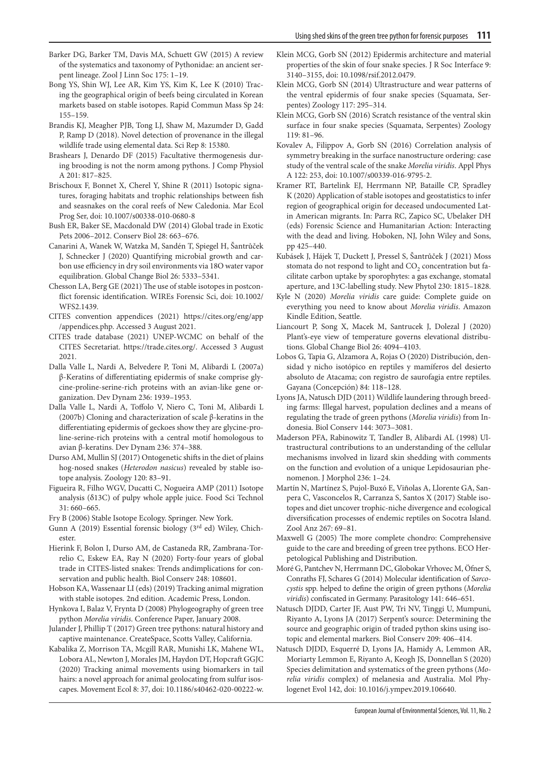- Barker DG, Barker TM, Davis MA, Schuett GW (2015) A review of the systematics and taxonomy of Pythonidae: an ancient serpent lineage. Zool J Linn Soc 175: 1–19.
- Bong YS, Shin WJ, Lee AR, Kim YS, Kim K, Lee K (2010) Tracing the geographical origin of beefs being circulated in Korean markets based on stable isotopes. Rapid Commun Mass Sp 24: 155–159.
- Brandis KJ, Meagher PJB, Tong LJ, Shaw M, Mazumder D, Gadd P, Ramp D (2018). Novel detection of provenance in the illegal wildlife trade using elemental data. Sci Rep 8: 15380.
- Brashears J, Denardo DF (2015) Facultative thermogenesis during brooding is not the norm among pythons. J Comp Physiol A 201: 817–825.
- Brischoux F, Bonnet X, Cherel Y, Shine R (2011) Isotopic signatures, foraging habitats and trophic relationships between fish and seasnakes on the coral reefs of New Caledonia. Mar Ecol Prog Ser, doi: 10.1007/s00338-010-0680-8
- Bush ER, Baker SE, Macdonald DW (2014) Global trade in Exotic Pets 2006–2012. Conserv Biol 28: 663–676.
- Canarini A, Wanek W, Watzka M, Sandén T, Spiegel H, Šantrůček J, Schnecker J (2020) Quantifying microbial growth and carbon use efficiency in dry soil environments via 18O water vapor equilibration. Global Change Biol 26: 5333–5341.
- Chesson LA, Berg GE (2021) The use of stable isotopes in postconflict forensic identification. WIREs Forensic Sci, doi: 10.1002/ WFS2.1439.
- CITES convention appendices (2021) https://cites.org/eng/app /appendices.php. Accessed 3 August 2021.
- CITES trade database (2021) UNEP-WCMC on behalf of the CITES Secretariat. https://trade.cites.org/. Accessed 3 August 2021.
- Dalla Valle L, Nardi A, Belvedere P, Toni M, Alibardi L (2007a) β-Keratins of differentiating epidermis of snake comprise glycine-proline-serine-rich proteins with an avian-like gene organization. Dev Dynam 236: 1939–1953.
- Dalla Valle L, Nardi A, Toffolo V, Niero C, Toni M, Alibardi L (2007b) Cloning and characterization of scale β-keratins in the differentiating epidermis of geckoes show they are glycine-proline-serine-rich proteins with a central motif homologous to avian β-keratins. Dev Dynam 236: 374–388.
- Durso AM, Mullin SJ (2017) Ontogenetic shifts in the diet of plains hog-nosed snakes (*Heterodon nasicus*) revealed by stable isotope analysis. Zoology 120: 83–91.
- Figueira R, Filho WGV, Ducatti C, Nogueira AMP (2011) Isotope analysis (δ13C) of pulpy whole apple juice. Food Sci Technol 31: 660–665.
- Fry B (2006) Stable Isotope Ecology. Springer. New York.
- Gunn A (2019) Essential forensic biology (3rd ed) Wiley, Chichester.
- Hierink F, Bolon I, Durso AM, de Castaneda RR, Zambrana-Torrelio C, Eskew EA, Ray N (2020) Forty-four years of global trade in CITES-listed snakes: Trends andimplications for conservation and public health. Biol Conserv 248: 108601.
- Hobson KA, Wassenaar LI (eds) (2019) Tracking animal migration with stable isotopes. 2nd edition. Academic Press, London.
- Hynkova I, Balaz V, Frynta D (2008) Phylogeography of green tree python *Morelia viridis*. Conference Paper, January 2008.
- Julander J, Phillip T (2017) Green tree pythons: natural history and captive maintenance. CreateSpace, Scotts Valley, California.
- Kabalika Z, Morrison TA, Mcgill RAR, Munishi LK, Mahene WL, Lobora AL, Newton J, Morales JM, Haydon DT, Hopcraft GGJC (2020) Tracking animal movements using biomarkers in tail hairs: a novel approach for animal geolocating from sulfur isoscapes. Movement Ecol 8: 37, doi: 10.1186/s40462-020-00222-w.
- Klein MCG, Gorb SN (2012) Epidermis architecture and material properties of the skin of four snake species. J R Soc Interface 9: 3140–3155, doi: 10.1098/rsif.2012.0479.
- Klein MCG, Gorb SN (2014) Ultrastructure and wear patterns of the ventral epidermis of four snake species (Squamata, Serpentes) Zoology 117: 295–314.
- Klein MCG, Gorb SN (2016) Scratch resistance of the ventral skin surface in four snake species (Squamata, Serpentes) Zoology 119: 81–96.
- Kovalev A, Filippov A, Gorb SN (2016) Correlation analysis of symmetry breaking in the surface nanostructure ordering: case study of the ventral scale of the snake *Morelia viridis*. Appl Phys A 122: 253, doi: 10.1007/s00339-016-9795-2.
- Kramer RT, Bartelink EJ, Herrmann NP, Bataille CP, Spradley K (2020) Application of stable isotopes and geostatistics to infer region of geographical origin for deceased undocumented Latin American migrants. In: Parra RC, Zapico SC, Ubelaker DH (eds) Forensic Science and Humanitarian Action: Interacting with the dead and living. Hoboken, NJ, John Wiley and Sons, pp 425–440.
- Kubásek J, Hájek T, Duckett J, Pressel S, Šantrůček J (2021) Moss stomata do not respond to light and CO<sub>2</sub> concentration but facilitate carbon uptake by sporophytes: a gas exchange, stomatal aperture, and 13C-labelling study. New Phytol 230: 1815–1828.
- Kyle N (2020) *Morelia viridis* care guide: Complete guide on everything you need to know about *Morelia viridis*. Amazon Kindle Edition, Seattle.
- Liancourt P, Song X, Macek M, Santrucek J, Dolezal J (2020) Plant's-eye view of temperature governs elevational distributions. Global Change Biol 26: 4094–4103.
- Lobos G, Tapia G, Alzamora A, Rojas O (2020) Distribución, densidad y nicho isotópico en reptiles y mamíferos del desierto absoluto de Atacama; con registro de saurofagia entre reptiles. Gayana (Concepción) 84: 118–128.
- Lyons JA, Natusch DJD (2011) Wildlife laundering through breeding farms: Illegal harvest, population declines and a means of regulating the trade of green pythons (*Morelia viridis*) from Indonesia. Biol Conserv 144: 3073–3081.
- Maderson PFA, Rabinowitz T, Tandler B, Alibardi AL (1998) Ultrastructural contributions to an understanding of the cellular mechanisms involved in lizard skin shedding with comments on the function and evolution of a unique Lepidosaurian phenomenon. J Morphol 236: 1–24.
- Martín N, Martínez S, Pujol-Buxó E, Viñolas A, Llorente GA, Sanpera C, Vasconcelos R, Carranza S, Santos X (2017) Stable isotopes and diet uncover trophic-niche divergence and ecological diversification processes of endemic reptiles on Socotra Island. Zool Anz 267: 69–81.
- Maxwell G (2005) The more complete chondro: Comprehensive guide to the care and breeding of green tree pythons. ECO Herpetological Publishing and Distribution.
- Moré G, Pantchev N, Herrmann DC, Globokar Vrhovec M, Öfner S, Conraths FJ, Schares G (2014) Molecular identification of *Sarcocystis* spp. helped to define the origin of green pythons (*Morelia viridis*) confiscated in Germany. Parasitology 141: 646–651.
- Natusch DJDD, Carter JF, Aust PW, Tri NV, Tinggi U, Mumpuni, Riyanto A, Lyons JA (2017) Serpent's source: Determining the source and geographic origin of traded python skins using isotopic and elemental markers. Biol Conserv 209: 406–414.
- Natusch DJDD, Esquerré D, Lyons JA, Hamidy A, Lemmon AR, Moriarty Lemmon E, Riyanto A, Keogh JS, Donnellan S (2020) Species delimitation and systematics of the green pythons (*Morelia viridis* complex) of melanesia and Australia. Mol Phylogenet Evol 142, doi: 10.1016/j.ympev.2019.106640.